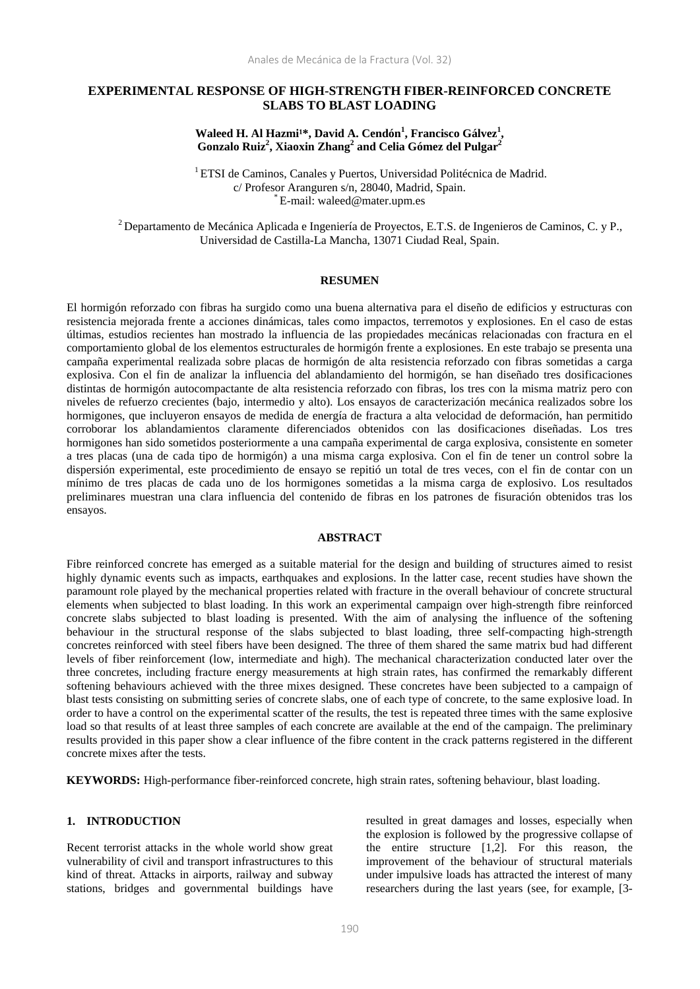## **EXPERIMENTAL RESPONSE OF HIGH-STRENGTH FIBER-REINFORCED CONCRETE SLABS TO BLAST LOADING**

## Waleed H. Al Hazmi<sup>1\*</sup>, David A. Cendón<sup>1</sup>, Francisco Gálvez<sup>1</sup>, **Gonzalo Ruiz2 , Xiaoxin Zhang<sup>2</sup> and Celia Gómez del Pulgar<sup>2</sup>**

<sup>1</sup> ETSI de Caminos, Canales y Puertos, Universidad Politécnica de Madrid. c/ Profesor Aranguren s/n, 28040, Madrid, Spain. \* E-mail: waleed@mater.upm.es

2 Departamento de Mecánica Aplicada e Ingeniería de Proyectos, E.T.S. de Ingenieros de Caminos, C. y P., Universidad de Castilla-La Mancha, 13071 Ciudad Real, Spain.

#### **RESUMEN**

El hormigón reforzado con fibras ha surgido como una buena alternativa para el diseño de edificios y estructuras con resistencia mejorada frente a acciones dinámicas, tales como impactos, terremotos y explosiones. En el caso de estas últimas, estudios recientes han mostrado la influencia de las propiedades mecánicas relacionadas con fractura en el comportamiento global de los elementos estructurales de hormigón frente a explosiones. En este trabajo se presenta una campaña experimental realizada sobre placas de hormigón de alta resistencia reforzado con fibras sometidas a carga explosiva. Con el fin de analizar la influencia del ablandamiento del hormigón, se han diseñado tres dosificaciones distintas de hormigón autocompactante de alta resistencia reforzado con fibras, los tres con la misma matriz pero con niveles de refuerzo crecientes (bajo, intermedio y alto). Los ensayos de caracterización mecánica realizados sobre los hormigones, que incluyeron ensayos de medida de energía de fractura a alta velocidad de deformación, han permitido corroborar los ablandamientos claramente diferenciados obtenidos con las dosificaciones diseñadas. Los tres hormigones han sido sometidos posteriormente a una campaña experimental de carga explosiva, consistente en someter a tres placas (una de cada tipo de hormigón) a una misma carga explosiva. Con el fin de tener un control sobre la dispersión experimental, este procedimiento de ensayo se repitió un total de tres veces, con el fin de contar con un mínimo de tres placas de cada uno de los hormigones sometidas a la misma carga de explosivo. Los resultados preliminares muestran una clara influencia del contenido de fibras en los patrones de fisuración obtenidos tras los ensayos.

#### **ABSTRACT**

Fibre reinforced concrete has emerged as a suitable material for the design and building of structures aimed to resist highly dynamic events such as impacts, earthquakes and explosions. In the latter case, recent studies have shown the paramount role played by the mechanical properties related with fracture in the overall behaviour of concrete structural elements when subjected to blast loading. In this work an experimental campaign over high-strength fibre reinforced concrete slabs subjected to blast loading is presented. With the aim of analysing the influence of the softening behaviour in the structural response of the slabs subjected to blast loading, three self-compacting high-strength concretes reinforced with steel fibers have been designed. The three of them shared the same matrix bud had different levels of fiber reinforcement (low, intermediate and high). The mechanical characterization conducted later over the three concretes, including fracture energy measurements at high strain rates, has confirmed the remarkably different softening behaviours achieved with the three mixes designed. These concretes have been subjected to a campaign of blast tests consisting on submitting series of concrete slabs, one of each type of concrete, to the same explosive load. In order to have a control on the experimental scatter of the results, the test is repeated three times with the same explosive load so that results of at least three samples of each concrete are available at the end of the campaign. The preliminary results provided in this paper show a clear influence of the fibre content in the crack patterns registered in the different concrete mixes after the tests.

**KEYWORDS:** High-performance fiber-reinforced concrete, high strain rates, softening behaviour, blast loading.

### **1. INTRODUCTION**

Recent terrorist attacks in the whole world show great vulnerability of civil and transport infrastructures to this kind of threat. Attacks in airports, railway and subway stations, bridges and governmental buildings have resulted in great damages and losses, especially when the explosion is followed by the progressive collapse of the entire structure [1,2]. For this reason, the improvement of the behaviour of structural materials under impulsive loads has attracted the interest of many researchers during the last years (see, for example, [3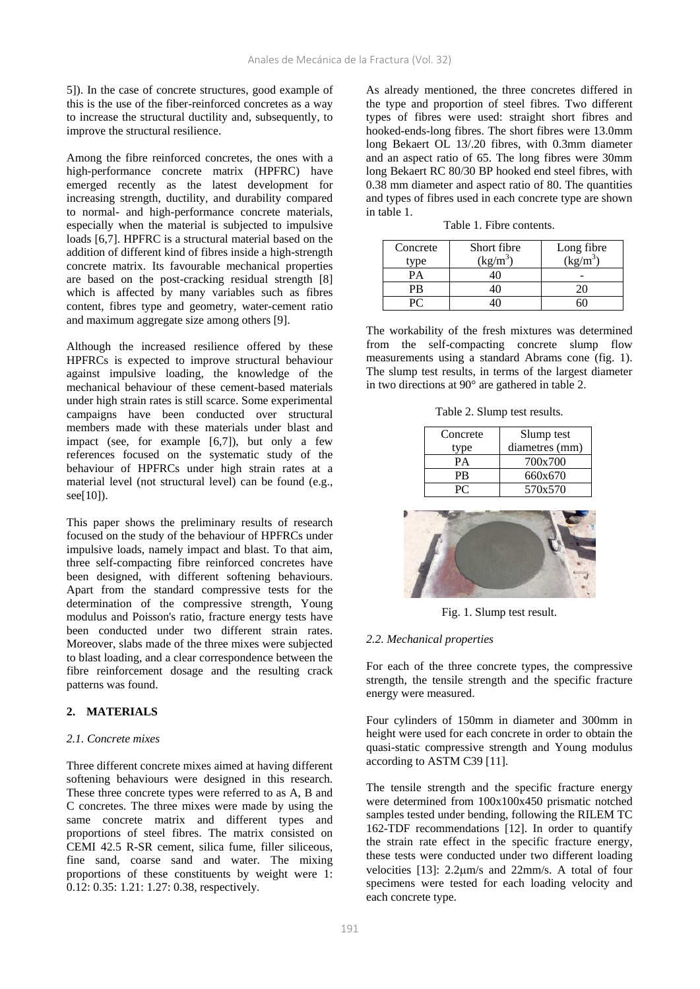5]). In the case of concrete structures, good example of this is the use of the fiber-reinforced concretes as a way to increase the structural ductility and, subsequently, to improve the structural resilience.

Among the fibre reinforced concretes, the ones with a high-performance concrete matrix (HPFRC) have emerged recently as the latest development for increasing strength, ductility, and durability compared to normal- and high-performance concrete materials, especially when the material is subjected to impulsive loads [6,7]. HPFRC is a structural material based on the addition of different kind of fibres inside a high-strength concrete matrix. Its favourable mechanical properties are based on the post-cracking residual strength [8] which is affected by many variables such as fibres content, fibres type and geometry, water-cement ratio and maximum aggregate size among others [9].

Although the increased resilience offered by these HPFRCs is expected to improve structural behaviour against impulsive loading, the knowledge of the mechanical behaviour of these cement-based materials under high strain rates is still scarce. Some experimental campaigns have been conducted over structural members made with these materials under blast and impact (see, for example [6,7]), but only a few references focused on the systematic study of the behaviour of HPFRCs under high strain rates at a material level (not structural level) can be found (e.g., see[10]).

This paper shows the preliminary results of research focused on the study of the behaviour of HPFRCs under impulsive loads, namely impact and blast. To that aim, three self-compacting fibre reinforced concretes have been designed, with different softening behaviours. Apart from the standard compressive tests for the determination of the compressive strength, Young modulus and Poisson's ratio, fracture energy tests have been conducted under two different strain rates. Moreover, slabs made of the three mixes were subjected to blast loading, and a clear correspondence between the fibre reinforcement dosage and the resulting crack patterns was found.

## **2. MATERIALS**

### *2.1. Concrete mixes*

Three different concrete mixes aimed at having different softening behaviours were designed in this research. These three concrete types were referred to as A, B and C concretes. The three mixes were made by using the same concrete matrix and different types and proportions of steel fibres. The matrix consisted on CEMI 42.5 R-SR cement, silica fume, filler siliceous, fine sand, coarse sand and water. The mixing proportions of these constituents by weight were 1: 0.12: 0.35: 1.21: 1.27: 0.38, respectively.

As already mentioned, the three concretes differed in the type and proportion of steel fibres. Two different types of fibres were used: straight short fibres and hooked-ends-long fibres. The short fibres were 13.0mm long Bekaert OL 13/.20 fibres, with 0.3mm diameter and an aspect ratio of 65. The long fibres were 30mm long Bekaert RC 80/30 BP hooked end steel fibres, with 0.38 mm diameter and aspect ratio of 80. The quantities and types of fibres used in each concrete type are shown in table 1.

Table 1. Fibre contents.

| Concrete<br>type | Short fibre<br>$(kg/m^3)$ | Long fibre<br>$\frac{\text{Long fibre}}{\text{(kg/m}^3)}$ |
|------------------|---------------------------|-----------------------------------------------------------|
| $P_{\rm A}$      |                           |                                                           |
| PR               |                           |                                                           |
|                  |                           |                                                           |

The workability of the fresh mixtures was determined from the self-compacting concrete slump flow measurements using a standard Abrams cone (fig. 1). The slump test results, in terms of the largest diameter in two directions at 90° are gathered in table 2.

Table 2. Slump test results.

| Concrete | Slump test     |  |  |
|----------|----------------|--|--|
| type     | diametres (mm) |  |  |
| PА       | 700x700        |  |  |
| PR       | 660x670        |  |  |
|          | 570x570        |  |  |



Fig. 1. Slump test result.

## *2.2. Mechanical properties*

For each of the three concrete types, the compressive strength, the tensile strength and the specific fracture energy were measured.

Four cylinders of 150mm in diameter and 300mm in height were used for each concrete in order to obtain the quasi-static compressive strength and Young modulus according to ASTM C39 [11].

The tensile strength and the specific fracture energy were determined from 100x100x450 prismatic notched samples tested under bending, following the RILEM TC 162-TDF recommendations [12]. In order to quantify the strain rate effect in the specific fracture energy, these tests were conducted under two different loading velocities [13]: 2.2µm/s and 22mm/s. A total of four specimens were tested for each loading velocity and each concrete type.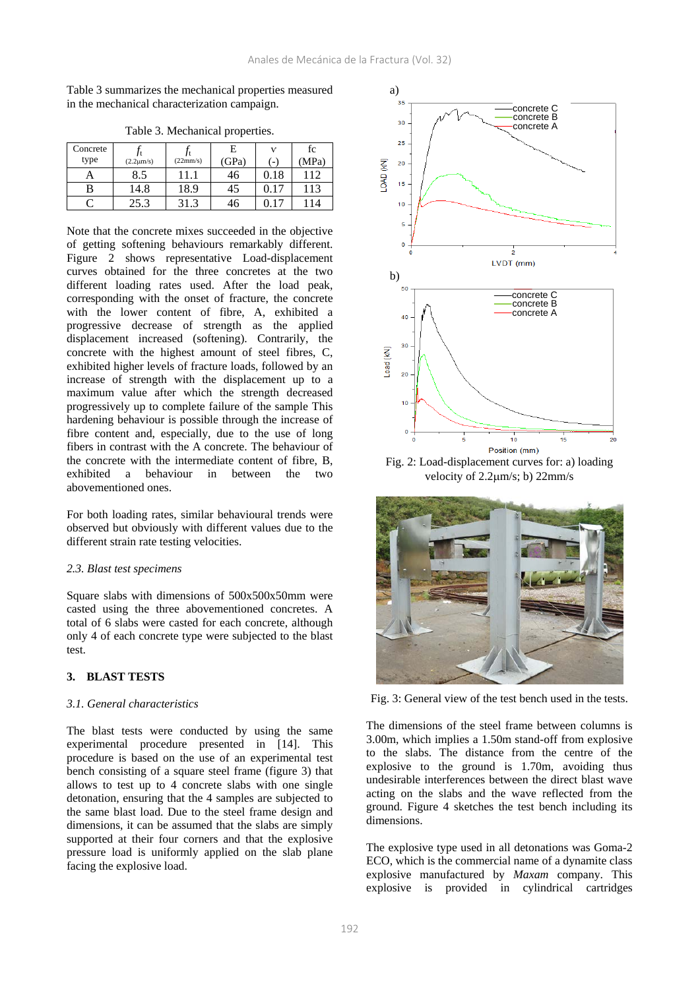Table 3 summarizes the mechanical properties measured in the mechanical characterization campaign.

| Concrete<br>type | $(2.2 \mu m/s)$ | (22mm/s) | Е<br>(GPa) | $\mathbf{v}$<br>$(-)$ | fc<br>(MPa) |
|------------------|-----------------|----------|------------|-----------------------|-------------|
| A                | 8.5             |          | 46         | 0.18                  | 112         |
| В                | 14.8            | 18.9     | 45         |                       | 113         |
|                  | 25.3            | 31.3     | 46         |                       | 14          |

Table 3. Mechanical properties.

Note that the concrete mixes succeeded in the objective of getting softening behaviours remarkably different. Figure 2 shows representative Load-displacement curves obtained for the three concretes at the two different loading rates used. After the load peak, corresponding with the onset of fracture, the concrete with the lower content of fibre, A, exhibited a progressive decrease of strength as the applied displacement increased (softening). Contrarily, the concrete with the highest amount of steel fibres, C, exhibited higher levels of fracture loads, followed by an increase of strength with the displacement up to a maximum value after which the strength decreased progressively up to complete failure of the sample This hardening behaviour is possible through the increase of fibre content and, especially, due to the use of long fibers in contrast with the A concrete. The behaviour of the concrete with the intermediate content of fibre, B, exhibited a behaviour in between the two abovementioned ones.

For both loading rates, similar behavioural trends were observed but obviously with different values due to the different strain rate testing velocities.

#### *2.3. Blast test specimens*

Square slabs with dimensions of 500x500x50mm were casted using the three abovementioned concretes. A total of 6 slabs were casted for each concrete, although only 4 of each concrete type were subjected to the blast test.

# **3. BLAST TESTS**

### *3.1. General characteristics*

The blast tests were conducted by using the same experimental procedure presented in [14]. This procedure is based on the use of an experimental test bench consisting of a square steel frame (figure 3) that allows to test up to 4 concrete slabs with one single detonation, ensuring that the 4 samples are subjected to the same blast load. Due to the steel frame design and dimensions, it can be assumed that the slabs are simply supported at their four corners and that the explosive pressure load is uniformly applied on the slab plane facing the explosive load.



Fig. 2: Load-displacement curves for: a) loading velocity of 2.2µm/s; b) 22mm/s



Fig. 3: General view of the test bench used in the tests.

The dimensions of the steel frame between columns is 3.00m, which implies a 1.50m stand-off from explosive to the slabs. The distance from the centre of the explosive to the ground is 1.70m, avoiding thus undesirable interferences between the direct blast wave acting on the slabs and the wave reflected from the ground. Figure 4 sketches the test bench including its dimensions.

The explosive type used in all detonations was Goma-2 ECO, which is the commercial name of a dynamite class explosive manufactured by *Maxam* company. This explosive is provided in cylindrical cartridges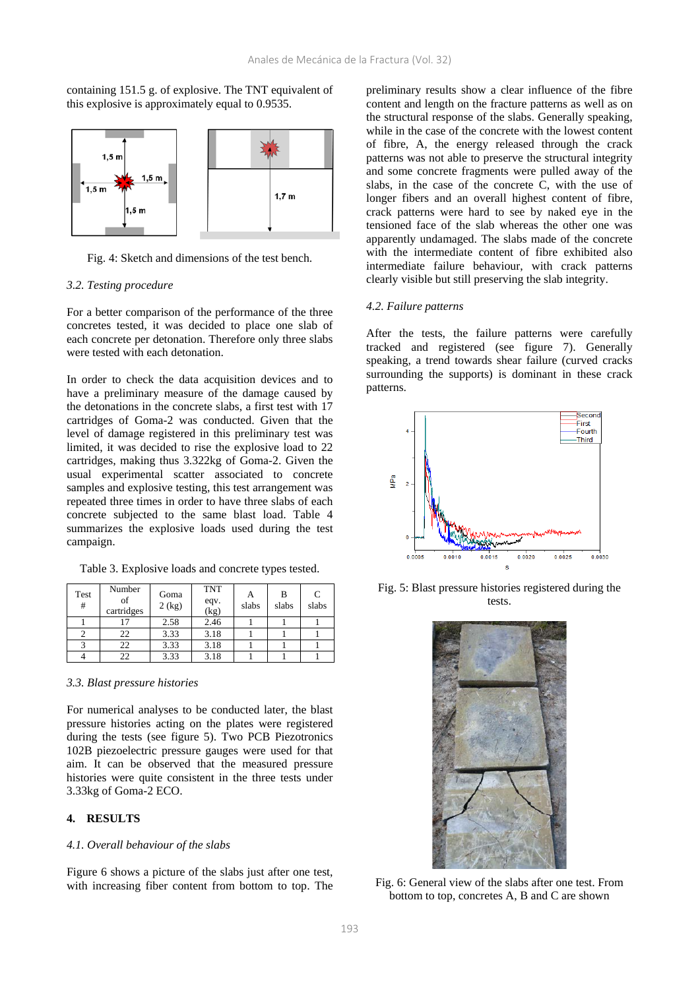containing 151.5 g. of explosive. The TNT equivalent of this explosive is approximately equal to 0.9535.



Fig. 4: Sketch and dimensions of the test bench.

#### *3.2. Testing procedure*

For a better comparison of the performance of the three concretes tested, it was decided to place one slab of each concrete per detonation. Therefore only three slabs were tested with each detonation.

In order to check the data acquisition devices and to have a preliminary measure of the damage caused by the detonations in the concrete slabs, a first test with 17 cartridges of Goma-2 was conducted. Given that the level of damage registered in this preliminary test was limited, it was decided to rise the explosive load to 22 cartridges, making thus 3.322kg of Goma-2. Given the usual experimental scatter associated to concrete samples and explosive testing, this test arrangement was repeated three times in order to have three slabs of each concrete subjected to the same blast load. Table 4 summarizes the explosive loads used during the test campaign.

| Test<br># | Number<br>of<br>cartridges | Goma<br>$2$ (kg) | <b>TNT</b><br>eqv.<br>$\overline{(\text{kg})}$ | А<br>slabs | B<br>slabs | $\subset$<br>slabs |
|-----------|----------------------------|------------------|------------------------------------------------|------------|------------|--------------------|
|           |                            | 2.58             | 2.46                                           |            |            |                    |
|           | 22                         | 3.33             | 3.18                                           |            |            |                    |
|           | 22                         | 3.33             | 3.18                                           |            |            |                    |
|           | 22                         | 3.33             | 3.18                                           |            |            |                    |

Table 3. Explosive loads and concrete types tested.

#### *3.3. Blast pressure histories*

For numerical analyses to be conducted later, the blast pressure histories acting on the plates were registered during the tests (see figure 5). Two PCB Piezotronics 102B piezoelectric pressure gauges were used for that aim. It can be observed that the measured pressure histories were quite consistent in the three tests under 3.33kg of Goma-2 ECO.

### **4. RESULTS**

#### *4.1. Overall behaviour of the slabs*

Figure 6 shows a picture of the slabs just after one test, with increasing fiber content from bottom to top. The preliminary results show a clear influence of the fibre content and length on the fracture patterns as well as on the structural response of the slabs. Generally speaking, while in the case of the concrete with the lowest content of fibre, A, the energy released through the crack patterns was not able to preserve the structural integrity and some concrete fragments were pulled away of the slabs, in the case of the concrete C, with the use of longer fibers and an overall highest content of fibre, crack patterns were hard to see by naked eye in the tensioned face of the slab whereas the other one was apparently undamaged. The slabs made of the concrete with the intermediate content of fibre exhibited also intermediate failure behaviour, with crack patterns clearly visible but still preserving the slab integrity.

#### *4.2. Failure patterns*

After the tests, the failure patterns were carefully tracked and registered (see figure 7). Generally speaking, a trend towards shear failure (curved cracks surrounding the supports) is dominant in these crack patterns.



Fig. 5: Blast pressure histories registered during the tests.



Fig. 6: General view of the slabs after one test. From bottom to top, concretes A, B and C are shown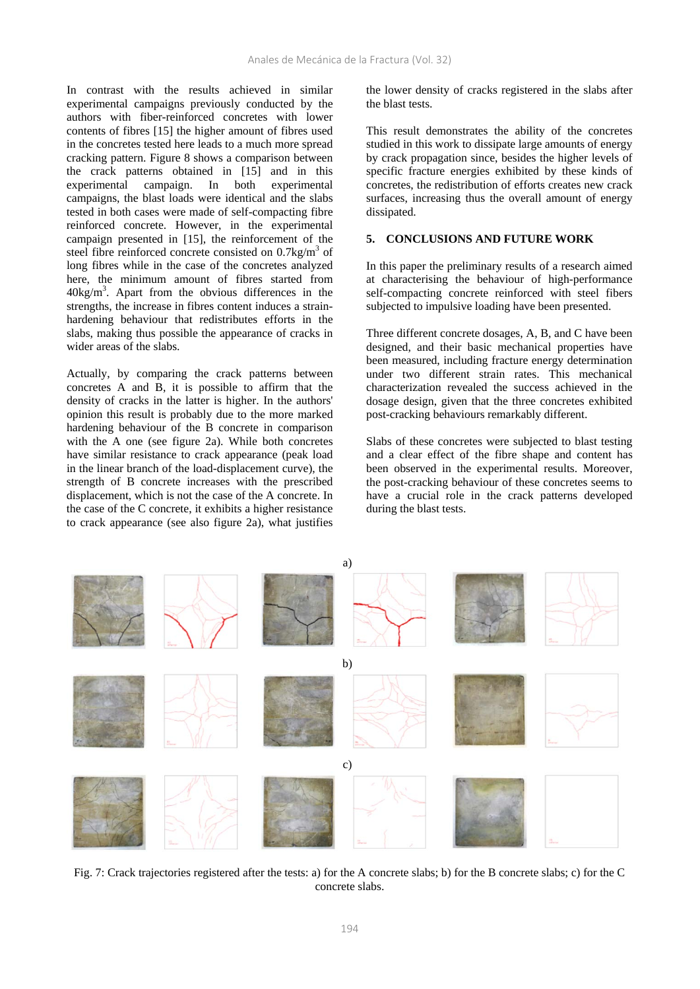In contrast with the results achieved in similar experimental campaigns previously conducted by the authors with fiber-reinforced concretes with lower contents of fibres [15] the higher amount of fibres used in the concretes tested here leads to a much more spread cracking pattern. Figure 8 shows a comparison between the crack patterns obtained in [15] and in this experimental campaign. In both experimental campaigns, the blast loads were identical and the slabs tested in both cases were made of self-compacting fibre reinforced concrete. However, in the experimental campaign presented in [15], the reinforcement of the steel fibre reinforced concrete consisted on 0.7kg/m<sup>3</sup> of long fibres while in the case of the concretes analyzed here, the minimum amount of fibres started from  $40\text{kg/m}^3$ . Apart from the obvious differences in the strengths, the increase in fibres content induces a strainhardening behaviour that redistributes efforts in the slabs, making thus possible the appearance of cracks in wider areas of the slabs.

Actually, by comparing the crack patterns between concretes A and B, it is possible to affirm that the density of cracks in the latter is higher. In the authors' opinion this result is probably due to the more marked hardening behaviour of the B concrete in comparison with the A one (see figure 2a). While both concretes have similar resistance to crack appearance (peak load in the linear branch of the load-displacement curve), the strength of B concrete increases with the prescribed displacement, which is not the case of the A concrete. In the case of the C concrete, it exhibits a higher resistance to crack appearance (see also figure 2a), what justifies the lower density of cracks registered in the slabs after the blast tests.

This result demonstrates the ability of the concretes studied in this work to dissipate large amounts of energy by crack propagation since, besides the higher levels of specific fracture energies exhibited by these kinds of concretes, the redistribution of efforts creates new crack surfaces, increasing thus the overall amount of energy dissipated.

## **5. CONCLUSIONS AND FUTURE WORK**

In this paper the preliminary results of a research aimed at characterising the behaviour of high-performance self-compacting concrete reinforced with steel fibers subjected to impulsive loading have been presented.

Three different concrete dosages, A, B, and C have been designed, and their basic mechanical properties have been measured, including fracture energy determination under two different strain rates. This mechanical characterization revealed the success achieved in the dosage design, given that the three concretes exhibited post-cracking behaviours remarkably different.

Slabs of these concretes were subjected to blast testing and a clear effect of the fibre shape and content has been observed in the experimental results. Moreover, the post-cracking behaviour of these concretes seems to have a crucial role in the crack patterns developed during the blast tests.



Fig. 7: Crack trajectories registered after the tests: a) for the A concrete slabs; b) for the B concrete slabs; c) for the C concrete slabs.